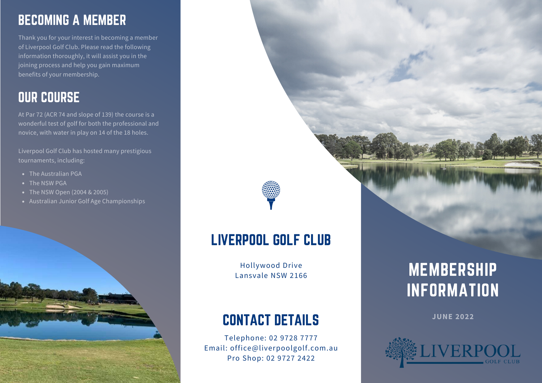### BECOMING A MEMBER

Thank you for your interest in becoming a member of Liverpool Golf Club. Please read the following information thoroughly, it will assist you in the joining process and help you gain maximum benefits of your membership.

### OUR COURSE

At Par 72 (ACR 74 and slope of 139) the course is a wonderful test of golf for both the professional and novice, with water in play on 14 of the 18 holes.

Liverpool Golf Club has hosted many prestigious tournaments, including:

- The Australian PGA
- The NSW PGA
- The NSW Open (2004 & 2005)
- Australian Junior Golf Age Championships



## LIVERPOOL GOLF CLUB

Hollywood Drive Lansvale NSW 2166

### CONTACT DETAILS

Telephone: 02 9728 7777 Email: office@liverpoolgolf.com.au Pro Shop: 02 9727 2422

# MEMBERSHIP INFORMATION

**JUNE 2022**